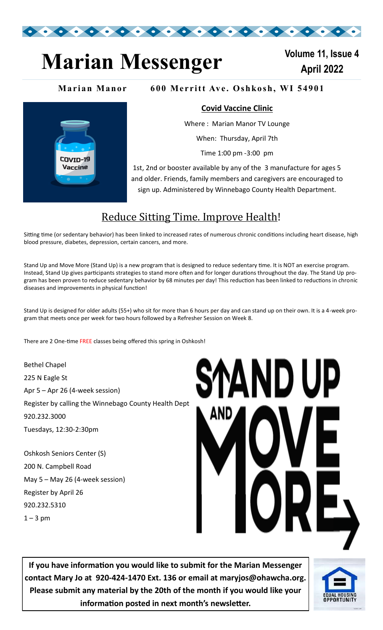

## **Marian Messenger Marian** 2022

**Volume 11, Issue 4**

#### **Marian Manor** 600 Merritt Ave. Oshkosh, WI 54901



#### **Covid Vaccine Clinic**

Where : Marian Manor TV Lounge

When: Thursday, April 7th

Time 1:00 pm -3:00 pm

1st, 2nd or booster available by any of the 3 manufacture for ages 5 and older. Friends, family members and caregivers are encouraged to sign up. Administered by Winnebago County Health Department.

### Reduce Sitting Time. Improve Health!

Sitting time (or sedentary behavior) has been linked to increased rates of numerous chronic conditions including heart disease, high blood pressure, diabetes, depression, certain cancers, and more.

Stand Up and Move More (Stand Up) is a new program that is designed to reduce sedentary time. It is NOT an exercise program. Instead, Stand Up gives participants strategies to stand more often and for longer durations throughout the day. The Stand Up program has been proven to reduce sedentary behavior by 68 minutes per day! This reduction has been linked to reductions in chronic diseases and improvements in physical function!

Stand Up is designed for older adults (55+) who sit for more than 6 hours per day and can stand up on their own. It is a 4-week program that meets once per week for two hours followed by a Refresher Session on Week 8.

There are 2 One-time FREE classes being offered this spring in Oshkosh!

Bethel Chapel 225 N Eagle St Apr 5 – Apr 26 (4-week session) Register by calling the Winnebago County Health Dept 920.232.3000 Tuesdays, 12:30-2:30pm

Oshkosh Seniors Center (S) 200 N. Campbell Road May 5 – May 26 (4-week session) Register by April 26 920.232.5310  $1 - 3$  pm



**If you have information you would like to submit for the Marian Messenger contact Mary Jo at 920-424-1470 Ext. 136 or email at maryjos@ohawcha.org. Please submit any material by the 20th of the month if you would like your information posted in next month's newsletter.**

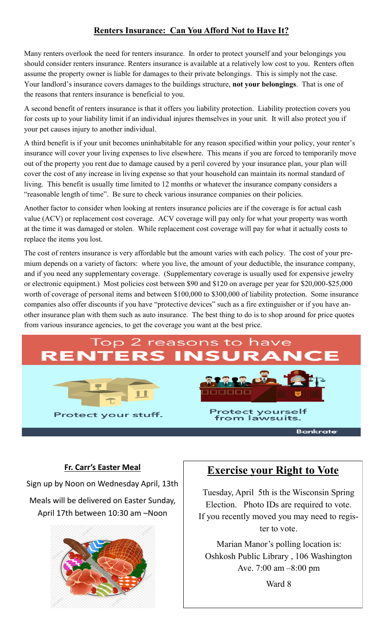#### **Renters Insurance: Can You Afford Not to Have It?**

Many renters overlook the need for renters insurance. In order to protect yourself and your belongings you should consider renters insurance. Renters insurance is available at a relatively low cost to you. Renters often assume the property owner is liable for damages to their private belongings. This is simply not the case. Your landlord's insurance covers damages to the buildings structure, **not your belongings**. That is one of the reasons that renters insurance is beneficial to you.

A second benefit of renters insurance is that it offers you liability protection. Liability protection covers you for costs up to your liability limit if an individual injures themselves in your unit. It will also protect you if your pet causes injury to another individual.

A third benefit is if your unit becomes uninhabitable for any reason specified within your policy, your renter's insurance will cover your living expenses to live elsewhere. This means if you are forced to temporarily move out of the property you rent due to damage caused by a peril covered by your insurance plan, your plan will cover the cost of any increase in living expense so that your household can maintain its normal standard of living. This benefit is usually time limited to 12 months or whatever the insurance company considers a "reasonable length of time". Be sure to check various insurance companies on their policies.

Another factor to consider when looking at renters insurance policies are if the coverage is for actual cash value (ACV) or replacement cost coverage. ACV coverage will pay only for what your property was worth at the time it was damaged or stolen. While replacement cost coverage will pay for what it actually costs to replace the items you lost.

The cost of renters insurance is very affordable but the amount varies with each policy. The cost of your premium depends on a variety of factors: where you live, the amount of your deductible, the insurance company, and if you need any supplementary coverage. (Supplementary coverage is usually used for expensive jewelry or electronic equipment.) Most policies cost between \$90 and \$120 on average per year for \$20,000-\$25,000 worth of coverage of personal items and between \$100,000 to \$300,000 of liability protection. Some insurance companies also offer discounts if you have "protective devices" such as a fire extinguisher or if you have another insurance plan with them such as auto insurance. The best thing to do is to shop around for price quotes from various insurance agencies, to get the coverage you want at the best price.

# easons





rotect yourself from lawsuits

Bankrate

#### **Fr. Carr's Easter Meal**

Sign up by Noon on Wednesday April, 13th

Meals will be delivered on Easter Sunday, April 17th between 10:30 am –Noon



#### **Exercise your Right to Vote**

Tuesday, April 5th is the Wisconsin Spring Election. Photo IDs are required to vote. If you recently moved you may need to register to vote.

Marian Manor's polling location is: Oshkosh Public Library , 106 Washington Ave. 7:00 am –8:00 pm

Ward 8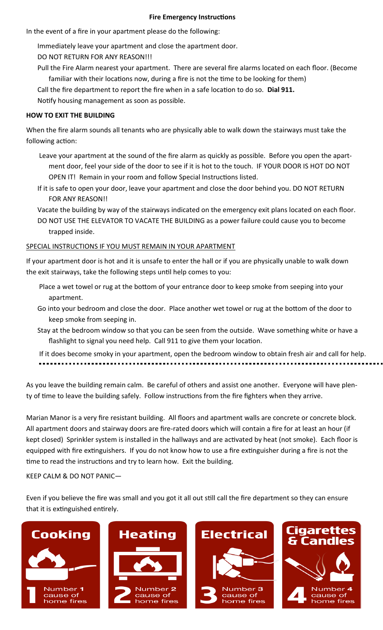#### **Fire Emergency Instructions**

In the event of a fire in your apartment please do the following:

- Immediately leave your apartment and close the apartment door.
- DO NOT RETURN FOR ANY REASON!!!
- Pull the Fire Alarm nearest your apartment. There are several fire alarms located on each floor. (Become familiar with their locations now, during a fire is not the time to be looking for them)
- Call the fire department to report the fire when in a safe location to do so. **Dial 911.**
- Notify housing management as soon as possible.

#### **HOW TO EXIT THE BUILDING**

When the fire alarm sounds all tenants who are physically able to walk down the stairways must take the following action:

- Leave your apartment at the sound of the fire alarm as quickly as possible. Before you open the apartment door, feel your side of the door to see if it is hot to the touch. IF YOUR DOOR IS HOT DO NOT OPEN IT! Remain in your room and follow Special Instructions listed.
- If it is safe to open your door, leave your apartment and close the door behind you. DO NOT RETURN FOR ANY REASON!!
- Vacate the building by way of the stairways indicated on the emergency exit plans located on each floor. DO NOT USE THE ELEVATOR TO VACATE THE BUILDING as a power failure could cause you to become trapped inside.

#### SPECIAL INSTRUCTIONS IF YOU MUST REMAIN IN YOUR APARTMENT

If your apartment door is hot and it is unsafe to enter the hall or if you are physically unable to walk down the exit stairways, take the following steps until help comes to you:

- Place a wet towel or rug at the bottom of your entrance door to keep smoke from seeping into your apartment.
- Go into your bedroom and close the door. Place another wet towel or rug at the bottom of the door to keep smoke from seeping in.
- Stay at the bedroom window so that you can be seen from the outside. Wave something white or have a flashlight to signal you need help. Call 911 to give them your location.

If it does become smoky in your apartment, open the bedroom window to obtain fresh air and call for help.

As you leave the building remain calm. Be careful of others and assist one another. Everyone will have plenty of time to leave the building safely. Follow instructions from the fire fighters when they arrive.

Marian Manor is a very fire resistant building. All floors and apartment walls are concrete or concrete block. All apartment doors and stairway doors are fire-rated doors which will contain a fire for at least an hour (if kept closed) Sprinkler system is installed in the hallways and are activated by heat (not smoke). Each floor is equipped with fire extinguishers. If you do not know how to use a fire extinguisher during a fire is not the time to read the instructions and try to learn how. Exit the building.

KEEP CALM & DO NOT PANIC—

Even if you believe the fire was small and you got it all out still call the fire department so they can ensure that it is extinguished entirely.